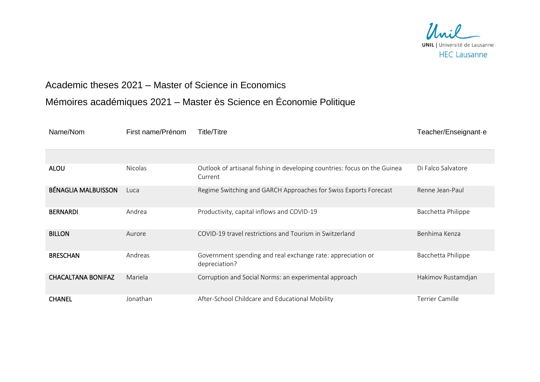

## Academic theses 2021 – Master of Science in Economics

## Mémoires académiques 2021 – Master ès Science en Économie Politique

| Name/Nom                   | First name/Prénom | Title/Titre                                                                          | Teacher/Enseignant-e |
|----------------------------|-------------------|--------------------------------------------------------------------------------------|----------------------|
|                            |                   |                                                                                      |                      |
| <b>ALOU</b>                | <b>Nicolas</b>    | Outlook of artisanal fishing in developing countries: focus on the Guinea<br>Current | Di Falco Salvatore   |
| <b>BÉNAGLIA MALBUISSON</b> | Luca              | Regime Switching and GARCH Approaches for Swiss Exports Forecast                     | Renne Jean-Paul      |
| <b>BERNARDI</b>            | Andrea            | Productivity, capital inflows and COVID-19                                           | Bacchetta Philippe   |
| <b>BILLON</b>              | Aurore            | COVID-19 travel restrictions and Tourism in Switzerland                              | Benhima Kenza        |
| <b>BRESCHAN</b>            | Andreas           | Government spending and real exchange rate: appreciation or<br>depreciation?         | Bacchetta Philippe   |
| <b>CHACALTANA BONIFAZ</b>  | Mariela           | Corruption and Social Norms: an experimental approach                                | Hakimov Rustamdjan   |
| <b>CHANEL</b>              | Jonathan          | After-School Childcare and Educational Mobility                                      | Terrier Camille      |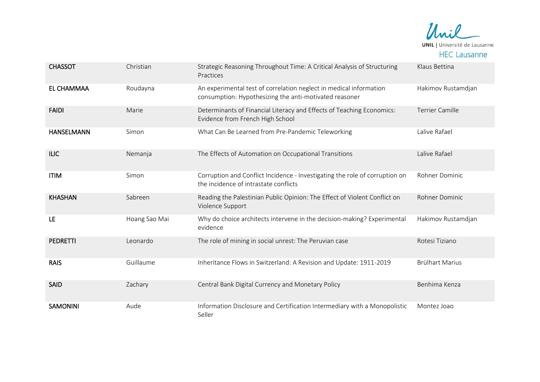

| <b>CHASSOT</b>    | Christian     | Strategic Reasoning Throughout Time: A Critical Analysis of Structuring<br>Practices                                         | Klaus Bettina          |
|-------------------|---------------|------------------------------------------------------------------------------------------------------------------------------|------------------------|
| <b>EL CHAMMAA</b> | Roudayna      | An experimental test of correlation neglect in medical information<br>consumption: Hypothesizing the anti-motivated reasoner | Hakimov Rustamdjan     |
| <b>FAIDI</b>      | Marie         | Determinants of Financial Literacy and Effects of Teaching Economics:<br>Evidence from French High School                    | <b>Terrier Camille</b> |
| <b>HANSELMANN</b> | Simon         | What Can Be Learned from Pre-Pandemic Teleworking                                                                            | Lalive Rafael          |
| <b>ILIC</b>       | Nemanja       | The Effects of Automation on Occupational Transitions                                                                        | Lalive Rafael          |
| <b>ITIM</b>       | Simon         | Corruption and Conflict Incidence - Investigating the role of corruption on<br>the incidence of intrastate conflicts         | Rohner Dominic         |
| <b>KHASHAN</b>    | Sabreen       | Reading the Palestinian Public Opinion: The Effect of Violent Conflict on<br>Violence Support                                | Rohner Dominic         |
| LE                | Hoang Sao Mai | Why do choice architects intervene in the decision-making? Experimental<br>evidence                                          | Hakimov Rustamdjan     |
| <b>PEDRETTI</b>   | Leonardo      | The role of mining in social unrest: The Peruvian case                                                                       | Rotesi Tiziano         |
| <b>RAIS</b>       | Guillaume     | Inheritance Flows in Switzerland: A Revision and Update: 1911-2019                                                           | <b>Brülhart Marius</b> |
| SAID              | Zachary       | Central Bank Digital Currency and Monetary Policy                                                                            | Benhima Kenza          |
| <b>SAMONINI</b>   | Aude          | Information Disclosure and Certification Intermediary with a Monopolistic<br>Seller                                          | Montez Joao            |